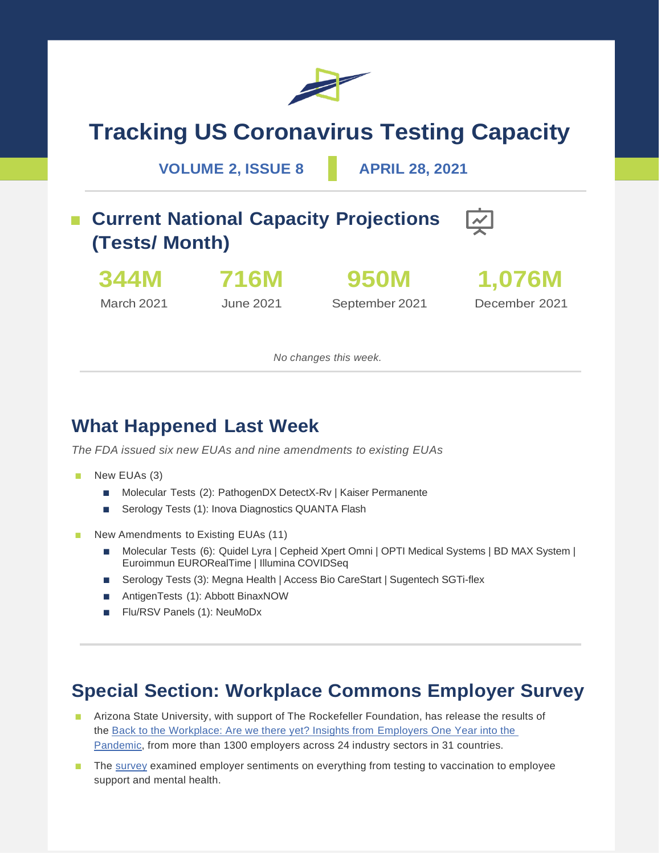

# **Tracking US Coronavirus Testing Capacity**

#### **VOLUME 2, ISSUE 8 APRIL 28, 2021**

### ■ **Current National Capacity Projections (Tests/ Month)**



March 2021

**716M** June 2021

**950M** September 2021



December 2021

*No changes this week.*

#### **What Happened Last Week**

*The FDA issued six new EUAs and nine amendments to existing EUAs*

- New EUAs (3)
	- Molecular Tests (2): PathogenDX DetectX-Rv | Kaiser Permanente
	- Serology Tests (1): Inova Diagnostics QUANTA Flash
- New Amendments to Existing EUAs (11)
	- Molecular Tests (6): Quidel Lyra | Cepheid Xpert Omni | OPTI Medical Systems | BD MAX System | Euroimmun EURORealTime | Illumina COVIDSeq
	- Serology Tests (3): Megna Health | Access Bio CareStart | Sugentech SGTi-flex
	- AntigenTests (1): Abbott BinaxNOW
	- Flu/RSV Panels (1): NeuMoDx

#### **Special Section: Workplace Commons Employer Survey**

- Arizona State University, with support of The Rockefeller Foundation, has release the results of the [Back to the Workplace: Are we there yet? Insights from Employers One Year into the](https://issuu.com/asuhealthsolutions/docs/asu_workplace_commons_phase_2_report)  [Pandemic,](https://issuu.com/asuhealthsolutions/docs/asu_workplace_commons_phase_2_report) from more than 1300 employers across 24 industry sectors in 31 countries.
- The [survey](https://www.rockefellerfoundation.org/news/arizona-state-university-survey-of-employers-shows-companies-doubling-down-on-covid-19-testing-and-support-vaccinations-to-achieve-a-post-pandemic-workplace) examined employer sentiments on everything from testing to vaccination to employee support and mental health.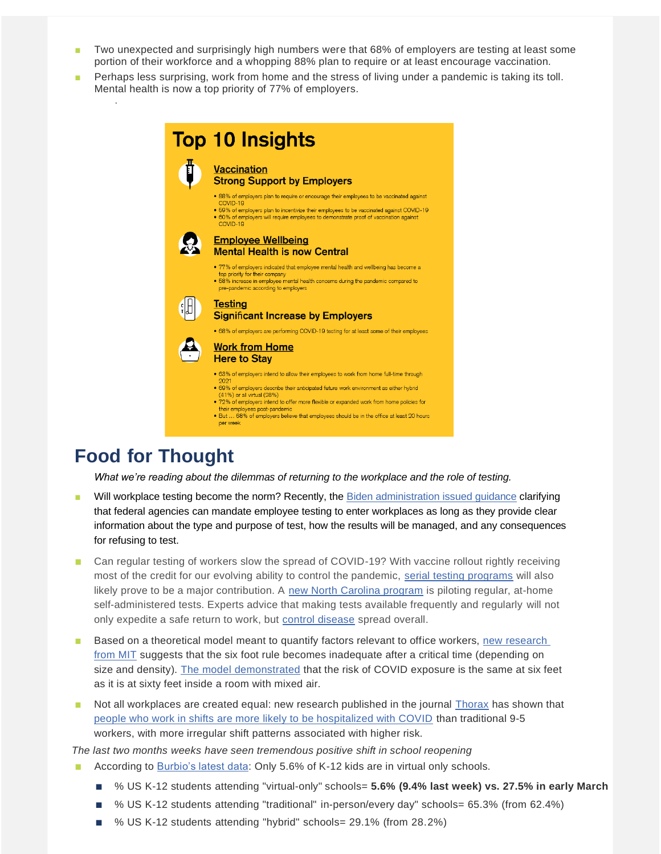- Two unexpected and surprisingly high numbers were that 68% of employers are testing at least some portion of their workforce and a whopping 88% plan to require or at least encourage vaccination.
- Perhaps less surprising, work from home and the stress of living under a pandemic is taking its toll. Mental health is now a top priority of 77% of employers.

| <b>Top 10 Insights</b>                                                                                                                                                                                                                                                                                                                                                                                                                                      |
|-------------------------------------------------------------------------------------------------------------------------------------------------------------------------------------------------------------------------------------------------------------------------------------------------------------------------------------------------------------------------------------------------------------------------------------------------------------|
| <b>Vaccination</b><br><b>Strong Support by Employers</b>                                                                                                                                                                                                                                                                                                                                                                                                    |
| • 88% of employers plan to require or encourage their employees to be vaccinated against<br>COVID-19<br>. 59% of employers plan to incentivize their employees to be vaccinated against COVID-19<br>• 60% of employers will require employees to demonstrate proof of vaccination against<br>COVID-19                                                                                                                                                       |
| <b>Employee Wellbeing</b><br><b>Mental Health is now Central</b>                                                                                                                                                                                                                                                                                                                                                                                            |
| • 77% of employers indicated that employee mental health and wellbeing has become a<br>top priority for their company<br>• 58% increase in employee mental health concerns during the pandemic compared to<br>pre-pandemic according to employers                                                                                                                                                                                                           |
| <b>Testing</b><br><b>Significant Increase by Employers</b>                                                                                                                                                                                                                                                                                                                                                                                                  |
| • 68% of employers are performing COVID-19 testing for at least some of their employees<br><b>Work from Home</b><br><b>Here to Stay</b>                                                                                                                                                                                                                                                                                                                     |
| • 63% of employers intend to allow their employees to work from home full-time through<br>2021<br>. 69% of employers describe their anticipated future work environment as either hybrid<br>(41%) or all virtual (28%)<br>. 72% of employers intend to offer more flexible or expanded work from home policies for<br>their employees post-pandemic<br>• But  68% of employers believe that employees should be in the office at least 20 hours<br>per week |

#### **Food for Thought**

.

*What we're reading about the dilemmas of returning to the workplace and the role of testing.*

- Will workplace testing become the norm? Recently, the [Biden administration issued guidance](https://www.washingtonpost.com/politics/biden-administration-issues-first-government-wide-guidance-about-how-to-test-federal-employees-for-coronavirus/2021/04/16/a15ec8dc-9ebf-11eb-9d05-ae06f4529ece_story.html) clarifying that federal agencies can mandate employee testing to enter workplaces as long as they provide clear information about the type and purpose of test, how the results will be managed, and any consequences for refusing to test.
- Can regular testing of workers slow the spread of COVID-19? With vaccine rollout rightly receiving most of the credit for our evolving ability to control the pandemic, [serial testing programs](https://www.nbcnews.com/health/health-news/can-regular-home-testing-slow-spread-covid-one-n-c-n1265093) will also likely prove to be a major contribution. A [new North Carolina program](https://www.washingtonpost.com/health/2021/04/28/new-coronavirus-testing-strategy-home-kits/) is piloting regular, at-home self-administered tests. Experts advice that making tests available frequently and regularly will not only expedite a safe return to work, but [control disease](https://www.today.com/health/could-regular-testing-workers-slow-spread-covid-19-t216369) spread overall.
- Based on a theoretical model meant to quantify factors relevant to office workers, new research [from MIT](https://www.pnas.org/content/118/17/e2018995118) suggests that the six foot rule becomes inadequate after a critical time (depending on size and density). [The model demonstrated](https://www.cnbc.com/2021/04/23/mit-researchers-say-youre-no-safer-from-covid-indoors-at-6-feet-or-60-feet-in-new-study.html) that the risk of COVID exposure is the same at six feet as it is at sixty feet inside a room with mixed air.
- Not all workplaces are created equal: new research published in the journal [Thorax](https://thorax.bmj.com/content/early/2021/03/30/thoraxjnl-2020-216651) has shown that [people who work in shifts are more likely to be hospitalized with COVID](https://www.forbes.com/sites/mishagajewski/2021/04/26/shift-workers-three-times-more-likely-to-be-hospitalized-for-covid-19-study-finds/?sh=34eebd5952e2) than traditional 9-5 workers, with more irregular shift patterns associated with higher risk.

*The last two months weeks have seen tremendous positive shift in school reopening*

- According to [Burbio's latest data:](https://cai.burbio.com/school-opening-tracker/) Only 5.6% of K-12 kids are in virtual only schools.
	- % US K-12 students attending "virtual-only" schools= **5.6% (9.4% last week) vs. 27.5% in early March**
	- % US K-12 students attending "traditional" in-person/every day" schools= 65.3% (from 62.4%)
	- % US K-12 students attending "hybrid" schools= 29.1% (from 28.2%)